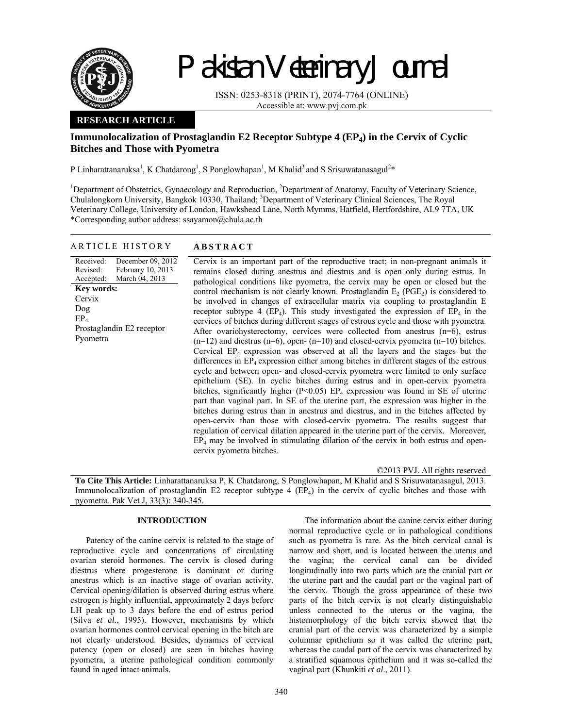

# Pakistan Veterinary Journal

ISSN: 0253-8318 (PRINT), 2074-7764 (ONLINE) Accessible at: www.pvj.com.pk

# **RESEARCH ARTICLE**

# **Immunolocalization of Prostaglandin E2 Receptor Subtype 4 (EP4) in the Cervix of Cyclic Bitches and Those with Pyometra**

P Linharattanaruksa<sup>1</sup>, K Chatdarong<sup>1</sup>, S Ponglowhapan<sup>1</sup>, M Khalid<sup>3</sup> and S Srisuwatanasagul<sup>2\*</sup>

<sup>1</sup>Department of Obstetrics, Gynaecology and Reproduction, <sup>2</sup>Department of Anatomy, Faculty of Veterinary Science, Chulalongkorn University, Bangkok 10330, Thailand; <sup>3</sup>Department of Veterinary Clinical Sciences, The Royal Veterinary College, University of London, Hawkshead Lane, North Mymms, Hatfield, Hertfordshire, AL9 7TA, UK \*Corresponding author address: ssayamon@chula.ac.th

### ARTICLE HISTORY **ABSTRACT**

#### Received: Revised: Accepted: December 09, 2012 February 10, 2013 March 04, 2013 **Key words: Cervix** Dog  $EP_4$ Prostaglandin E2 receptor Pyometra

Cervix is an important part of the reproductive tract; in non-pregnant animals it remains closed during anestrus and diestrus and is open only during estrus. In pathological conditions like pyometra, the cervix may be open or closed but the control mechanism is not clearly known. Prostaglandin  $E_2$  (PGE<sub>2</sub>) is considered to be involved in changes of extracellular matrix via coupling to prostaglandin E receptor subtype 4 (EP<sub>4</sub>). This study investigated the expression of  $EP_4$  in the cervices of bitches during different stages of estrous cycle and those with pyometra. After ovariohysterectomy, cervices were collected from anestrus  $(n=6)$ , estrus  $(n=12)$  and diestrus  $(n=6)$ , open- $(n=10)$  and closed-cervix pyometra  $(n=10)$  bitches. Cervical  $EP_4$  expression was observed at all the layers and the stages but the differences in  $EP_4$  expression either among bitches in different stages of the estrous cycle and between open- and closed-cervix pyometra were limited to only surface epithelium (SE). In cyclic bitches during estrus and in open-cervix pyometra bitches, significantly higher ( $P<0.05$ ) EP<sub>4</sub> expression was found in SE of uterine part than vaginal part. In SE of the uterine part, the expression was higher in the bitches during estrus than in anestrus and diestrus, and in the bitches affected by open-cervix than those with closed-cervix pyometra. The results suggest that regulation of cervical dilation appeared in the uterine part of the cervix. Moreover,  $EP<sub>4</sub>$  may be involved in stimulating dilation of the cervix in both estrus and opencervix pyometra bitches.

©2013 PVJ. All rights reserved

**To Cite This Article:** Linharattanaruksa P, K Chatdarong, S Ponglowhapan, M Khalid and S Srisuwatanasagul, 2013. Immunolocalization of prostaglandin E2 receptor subtype 4 (EP<sub>4</sub>) in the cervix of cyclic bitches and those with pyometra. Pak Vet J, 33(3): 340-345.

# **INTRODUCTION**

Patency of the canine cervix is related to the stage of reproductive cycle and concentrations of circulating ovarian steroid hormones. The cervix is closed during diestrus where progesterone is dominant or during anestrus which is an inactive stage of ovarian activity. Cervical opening/dilation is observed during estrus where estrogen is highly influential, approximately 2 days before LH peak up to 3 days before the end of estrus period (Silva *et al.*, 1995). However, mechanisms by which ovarian hormones control cervical opening in the bitch are not clearly understood. Besides, dynamics of cervical patency (open or closed) are seen in bitches having pyometra, a uterine pathological condition commonly found in aged intact animals.

The information about the canine cervix either during normal reproductive cycle or in pathological conditions such as pyometra is rare. As the bitch cervical canal is narrow and short, and is located between the uterus and the vagina; the cervical canal can be divided longitudinally into two parts which are the cranial part or the uterine part and the caudal part or the vaginal part of the cervix. Though the gross appearance of these two parts of the bitch cervix is not clearly distinguishable unless connected to the uterus or the vagina, the histomorphology of the bitch cervix showed that the cranial part of the cervix was characterized by a simple columnar epithelium so it was called the uterine part, whereas the caudal part of the cervix was characterized by a stratified squamous epithelium and it was so-called the vaginal part (Khunkiti *et al*., 2011).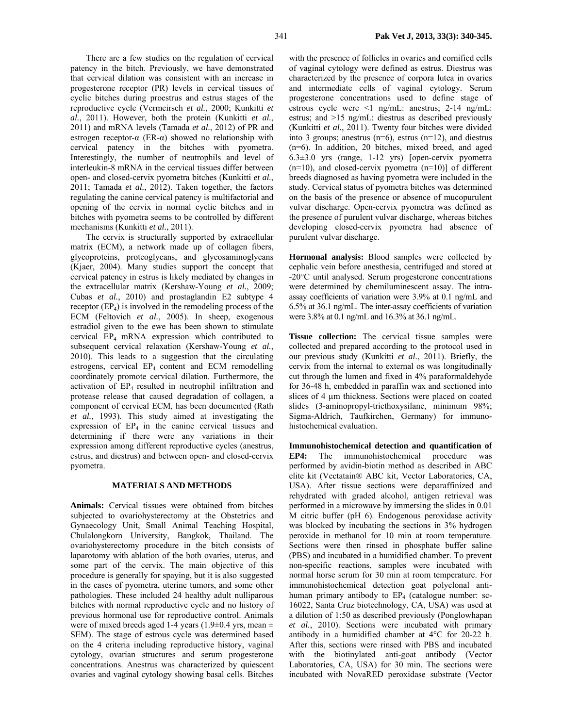There are a few studies on the regulation of cervical patency in the bitch. Previously, we have demonstrated that cervical dilation was consistent with an increase in progesterone receptor (PR) levels in cervical tissues of cyclic bitches during proestrus and estrus stages of the reproductive cycle (Vermeirsch *et al.*, 2000; Kunkitti *et al.*, 2011). However, both the protein (Kunkitti *et al.*, 2011) and mRNA levels (Tamada *et al.*, 2012) of PR and estrogen receptor- $\alpha$  (ER- $\alpha$ ) showed no relationship with cervical patency in the bitches with pyometra. Interestingly, the number of neutrophils and level of interleukin-8 mRNA in the cervical tissues differ between open- and closed-cervix pyometra bitches (Kunkitti *et al.*, 2011; Tamada *et al.*, 2012). Taken together, the factors regulating the canine cervical patency is multifactorial and opening of the cervix in normal cyclic bitches and in bitches with pyometra seems to be controlled by different mechanisms (Kunkitti *et al.*, 2011).

The cervix is structurally supported by extracellular matrix (ECM), a network made up of collagen fibers, glycoproteins, proteoglycans, and glycosaminoglycans (Kjaer, 2004). Many studies support the concept that cervical patency in estrus is likely mediated by changes in the extracellular matrix (Kershaw-Young *et al.*, 2009; Cubas *et al.*, 2010) and prostaglandin E2 subtype 4 receptor  $(EP<sub>4</sub>)$  is involved in the remodeling process of the ECM (Feltovich *et al.*, 2005). In sheep, exogenous estradiol given to the ewe has been shown to stimulate cervical EP4 mRNA expression which contributed to subsequent cervical relaxation (Kershaw-Young *et al.*, 2010). This leads to a suggestion that the circulating estrogens, cervical  $EP_4$  content and ECM remodelling coordinately promote cervical dilation. Furthermore, the activation of EP<sub>4</sub> resulted in neutrophil infiltration and protease release that caused degradation of collagen, a component of cervical ECM, has been documented (Rath *et al.*, 1993). This study aimed at investigating the expression of  $EP_4$  in the canine cervical tissues and determining if there were any variations in their expression among different reproductive cycles (anestrus, estrus, and diestrus) and between open- and closed-cervix pyometra.

## **MATERIALS AND METHODS**

**Animals:** Cervical tissues were obtained from bitches subjected to ovariohysterectomy at the Obstetrics and Gynaecology Unit, Small Animal Teaching Hospital, Chulalongkorn University, Bangkok, Thailand. The ovariohysterectomy procedure in the bitch consists of laparotomy with ablation of the both ovaries, uterus, and some part of the cervix. The main objective of this procedure is generally for spaying, but it is also suggested in the cases of pyometra, uterine tumors, and some other pathologies. These included 24 healthy adult nulliparous bitches with normal reproductive cycle and no history of previous hormonal use for reproductive control. Animals were of mixed breeds aged 1-4 years (1.9±0.4 yrs, mean  $\pm$ SEM). The stage of estrous cycle was determined based on the 4 criteria including reproductive history, vaginal cytology, ovarian structures and serum progesterone concentrations. Anestrus was characterized by quiescent ovaries and vaginal cytology showing basal cells. Bitches

with the presence of follicles in ovaries and cornified cells of vaginal cytology were defined as estrus. Diestrus was characterized by the presence of corpora lutea in ovaries and intermediate cells of vaginal cytology. Serum progesterone concentrations used to define stage of estrous cycle were <1 ng/mL: anestrus; 2-14 ng/mL: estrus; and >15 ng/mL: diestrus as described previously (Kunkitti *et al.*, 2011). Twenty four bitches were divided into 3 groups; anestrus  $(n=6)$ , estrus  $(n=12)$ , and diestrus (n=6). In addition, 20 bitches, mixed breed, and aged 6.3±3.0 yrs (range, 1-12 yrs) [open-cervix pyometra  $(n=10)$ , and closed-cervix pyometra  $(n=10)$ ] of different breeds diagnosed as having pyometra were included in the study. Cervical status of pyometra bitches was determined on the basis of the presence or absence of mucopurulent vulvar discharge. Open-cervix pyometra was defined as the presence of purulent vulvar discharge, whereas bitches developing closed-cervix pyometra had absence of purulent vulvar discharge.

**Hormonal analysis:** Blood samples were collected by cephalic vein before anesthesia, centrifuged and stored at -20°C until analysed. Serum progesterone concentrations were determined by chemiluminescent assay. The intraassay coefficients of variation were 3.9% at 0.1 ng/mL and 6.5% at 36.1 ng/mL. The inter-assay coefficients of variation were 3.8% at 0.1 ng/mL and 16.3% at 36.1 ng/mL.

**Tissue collection:** The cervical tissue samples were collected and prepared according to the protocol used in our previous study (Kunkitti *et al.*, 2011). Briefly, the cervix from the internal to external os was longitudinally cut through the lumen and fixed in 4% paraformaldehyde for 36-48 h, embedded in paraffin wax and sectioned into slices of 4 µm thickness. Sections were placed on coated slides (3-aminopropyl-triethoxysilane, minimum 98%; Sigma-Aldrich, Taufkirchen, Germany) for immunohistochemical evaluation.

**Immunohistochemical detection and quantification of EP4:** The immunohistochemical procedure was performed by avidin-biotin method as described in ABC elite kit (Vectatain® ABC kit, Vector Laboratories, CA, USA). After tissue sections were deparaffinized and rehydrated with graded alcohol, antigen retrieval was performed in a microwave by immersing the slides in 0.01 M citric buffer (pH 6). Endogenous peroxidase activity was blocked by incubating the sections in 3% hydrogen peroxide in methanol for 10 min at room temperature. Sections were then rinsed in phosphate buffer saline (PBS) and incubated in a humidified chamber. To prevent non-specific reactions, samples were incubated with normal horse serum for 30 min at room temperature. For immunohistochemical detection goat polyclonal antihuman primary antibody to  $EP_4$  (catalogue number: sc-16022, Santa Cruz biotechnology, CA, USA) was used at a dilution of 1:50 as described previously (Ponglowhapan *et al.*, 2010). Sections were incubated with primary antibody in a humidified chamber at 4°C for 20-22 h. After this, sections were rinsed with PBS and incubated with the biotinylated anti-goat antibody (Vector Laboratories, CA, USA) for 30 min. The sections were incubated with NovaRED peroxidase substrate (Vector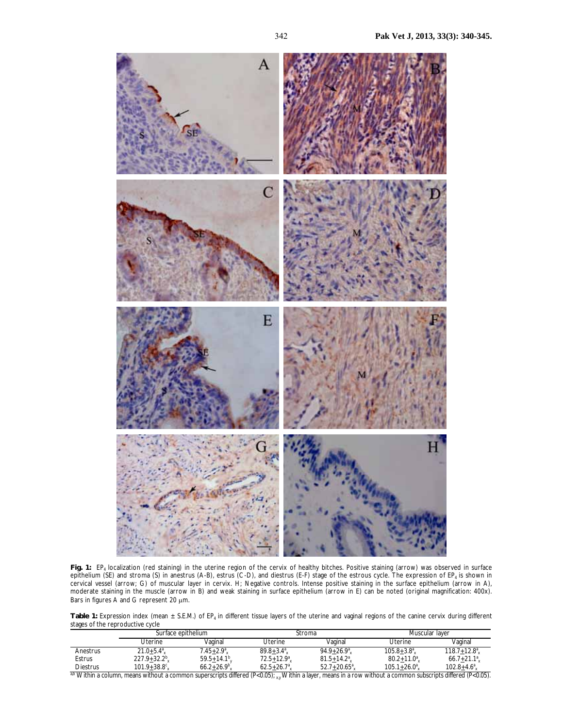

**Fig. 1:** EP4 localization (red staining) in the uterine region of the cervix of healthy bitches. Positive staining (arrow) was observed in surface epithelium (SE) and stroma (S) in anestrus (A-B), estrus (C-D), and diestrus (E-F) stage of the estrous cycle. The expression of EP<sub>4</sub> is shown in cervical vessel (arrow; G) of muscular layer in cervix. H; Negative controls. Intense positive staining in the surface epithelium (arrow in A), moderate staining in the muscle (arrow in B) and weak staining in surface epithelium (arrow in E) can be noted (original magnification: 400x). Bars in figures A and G represent 20  $\mu$ m.

Table 1: Expression index (mean ± S.E.M.) of EP<sub>4</sub> in different tissue layers of the uterine and vaginal regions of the canine cervix during different stages of the reproductive cycle

|                                                                                                                                                                   | Surface epithelium     |                | Stroma          |                        | Muscular laver   |                  |  |  |  |
|-------------------------------------------------------------------------------------------------------------------------------------------------------------------|------------------------|----------------|-----------------|------------------------|------------------|------------------|--|--|--|
|                                                                                                                                                                   | Uterine                | Vaginal        | Uterine         | Vaginal                | Uterine          | Vaginal          |  |  |  |
| Anestrus                                                                                                                                                          | $21.0 + 5.4^a$         | $7.45 + 2.9^a$ | $89.8 + 3.4^a$  | $94.9 + 26.9^a$        | $105.8 + 3.8^a$  | $118.7 + 12.8^a$ |  |  |  |
| Estrus                                                                                                                                                            | $227.9 + 32.2^b$       | $59.5 + 14.1b$ | $72.5 + 12.9^a$ | $81.5 + 14.2^a$        | $80.2 + 11.0^a$  | $66.7 + 21.1^a$  |  |  |  |
| <b>Diestrus</b>                                                                                                                                                   | $101.9 + 38.8^{\circ}$ | $66.2+26.9^b$  | $62.5+26.7^a$   | $52.7 + 20.65^{\circ}$ | $105.1 + 26.0^a$ | $102.8 + 4.6^a$  |  |  |  |
| ab Within a column, means without a common superscripts differed $(P<0.05)$ ; xy Within a layer, means in a row without a common subscripts differed $(P<0.05)$ . |                        |                |                 |                        |                  |                  |  |  |  |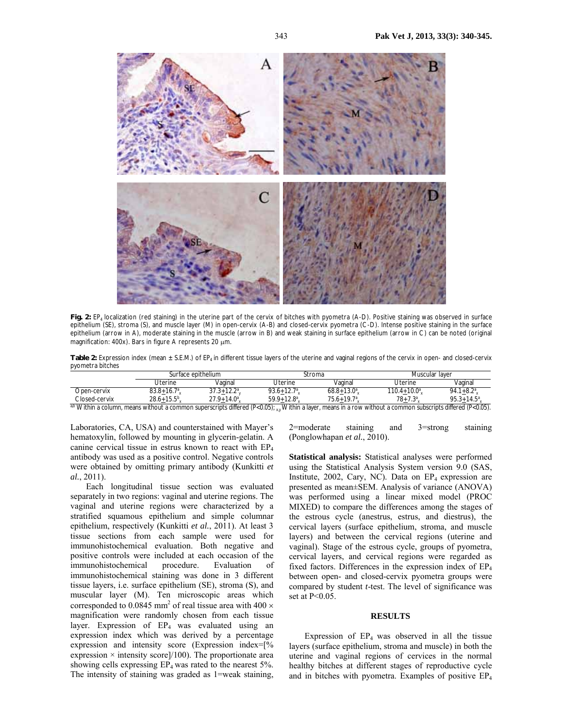

Fig. 2: EP<sub>4</sub> localization (red staining) in the uterine part of the cervix of bitches with pyometra (A-D). Positive staining was observed in surface epithelium (SE), stroma (S), and muscle layer (M) in open-cervix (A-B) and closed-cervix pyometra (C-D). Intense positive staining in the surface epithelium (arrow in A), moderate staining in the muscle (arrow in B) and weak staining in surface epithelium (arrow in C) can be noted (original magnification: 400x). Bars in figure A represents 20  $\mu$ m.

Table 2: Expression index (mean ± S.E.M.) of EP<sub>4</sub> in different tissue layers of the uterine and vaginal regions of the cervix in open- and closed-cervix pyometra bitches

|                  | Surface epithelium |                       | Stroma                         |                 | Muscular laver               |                           |
|------------------|--------------------|-----------------------|--------------------------------|-----------------|------------------------------|---------------------------|
|                  | Jterine            | Vaɑinal               | Uterine                        | Vaɑinal         | Uterine                      | Vaginal                   |
| Dpen-cervix      | $83.8 + 16.7$      | .123<br>$31.3 + 12.2$ | 93.6 $\pm$ 12.7 <sup>a</sup> , | $68.8 + 13.0^a$ | $110.4 +$<br>$+10.0^{\circ}$ | $+8.2^a$<br>94.1          |
| Closed-cervix    | $28.6 + 15.5^b$    | $27.9 + 14.0^a$       | $59.9 + 12.8$ <sup>a</sup>     | $75.6 + 19.7^a$ | $78 + 7.3^{\circ}$           | $95.3 + 14.5^a$           |
| $00$ 1 4 $(111)$ |                    |                       | $\sim$ $\sim$ $\sim$<br>       |                 | $\cdots$                     | $\sqrt{2}$ $\sqrt{2}$<br> |

COSET-CET VIX 20.01 13.3 x 27.3 14.3 x 27.3 14.3 x 27.3 14.3 x 27.3 14.3 x 27.3 14.3 x 27.3 14.3 x 27.3 14.3 x 27.3 14.3 x 27.3 14.3 x 27.3 14.3 x 27.3 14.3 x 27.3 14.3 x 27.3 14.3 x 27.3 14.3 x 27.3 14.3 x 27.3 14.3 x 27

Laboratories, CA, USA) and counterstained with Mayer's hematoxylin, followed by mounting in glycerin-gelatin. A canine cervical tissue in estrus known to react with EP4 antibody was used as a positive control. Negative controls were obtained by omitting primary antibody (Kunkitti *et al.*, 2011).

Each longitudinal tissue section was evaluated separately in two regions: vaginal and uterine regions. The vaginal and uterine regions were characterized by a stratified squamous epithelium and simple columnar epithelium, respectively (Kunkitti *et al.*, 2011). At least 3 tissue sections from each sample were used for immunohistochemical evaluation. Both negative and positive controls were included at each occasion of the immunohistochemical procedure. Evaluation of immunohistochemical staining was done in 3 different tissue layers, i.e. surface epithelium (SE), stroma (S), and muscular layer (M). Ten microscopic areas which corresponded to 0.0845 mm<sup>2</sup> of real tissue area with 400  $\times$ magnification were randomly chosen from each tissue layer. Expression of  $EP_4$  was evaluated using an expression index which was derived by a percentage expression and intensity score (Expression index=[% expression  $\times$  intensity score]/100). The proportionate area showing cells expressing EP4 was rated to the nearest 5%. The intensity of staining was graded as 1=weak staining,

2=moderate staining and 3=strong staining (Ponglowhapan *et al.*, 2010).

**Statistical analysis:** Statistical analyses were performed using the Statistical Analysis System version 9.0 (SAS, Institute, 2002, Cary, NC). Data on  $EP_4$  expression are presented as mean±SEM. Analysis of variance (ANOVA) was performed using a linear mixed model (PROC MIXED) to compare the differences among the stages of the estrous cycle (anestrus, estrus, and diestrus), the cervical layers (surface epithelium, stroma, and muscle layers) and between the cervical regions (uterine and vaginal). Stage of the estrous cycle, groups of pyometra, cervical layers, and cervical regions were regarded as fixed factors. Differences in the expression index of EP4 between open- and closed-cervix pyometra groups were compared by student *t*-test. The level of significance was set at P<0.05.

#### **RESULTS**

Expression of  $EP_4$  was observed in all the tissue layers (surface epithelium, stroma and muscle) in both the uterine and vaginal regions of cervices in the normal healthy bitches at different stages of reproductive cycle and in bitches with pyometra. Examples of positive EP4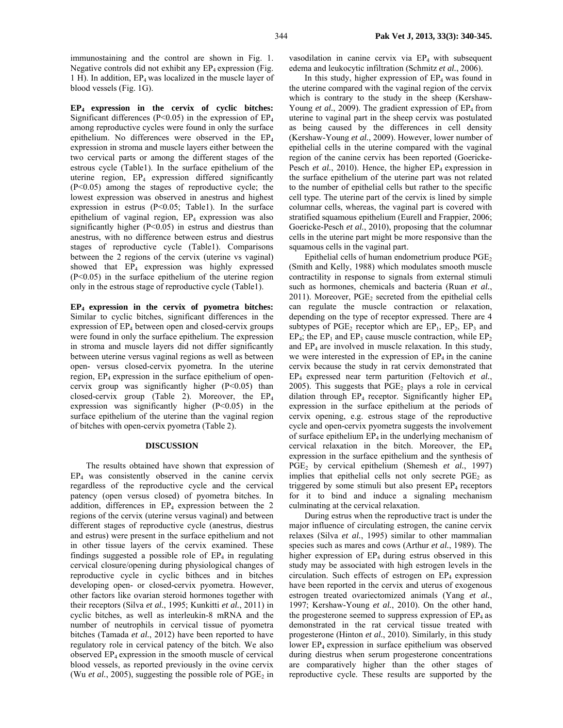immunostaining and the control are shown in Fig. 1. Negative controls did not exhibit any  $EP_4$  expression (Fig. 1 H). In addition, EP4 was localized in the muscle layer of blood vessels (Fig. 1G).

**EP4 expression in the cervix of cyclic bitches:**  Significant differences ( $P<0.05$ ) in the expression of  $EP_4$ among reproductive cycles were found in only the surface epithelium. No differences were observed in the EP4 expression in stroma and muscle layers either between the two cervical parts or among the different stages of the estrous cycle (Table1). In the surface epithelium of the uterine region,  $EP_4$  expression differed significantly (P<0.05) among the stages of reproductive cycle; the lowest expression was observed in anestrus and highest expression in estrus (P<0.05; Table1). In the surface epithelium of vaginal region,  $EP_4$  expression was also significantly higher  $(P<0.05)$  in estrus and diestrus than anestrus, with no difference between estrus and diestrus stages of reproductive cycle (Table1). Comparisons between the 2 regions of the cervix (uterine vs vaginal) showed that EP<sub>4</sub> expression was highly expressed (P<0.05) in the surface epithelium of the uterine region only in the estrous stage of reproductive cycle (Table1).

**EP4 expression in the cervix of pyometra bitches:**  Similar to cyclic bitches, significant differences in the expression of  $EP_4$  between open and closed-cervix groups were found in only the surface epithelium. The expression in stroma and muscle layers did not differ significantly between uterine versus vaginal regions as well as between open- versus closed-cervix pyometra. In the uterine region, EP<sub>4</sub> expression in the surface epithelium of opencervix group was significantly higher  $(P<0.05)$  than closed-cervix group (Table 2). Moreover, the  $EP_4$ expression was significantly higher  $(P<0.05)$  in the surface epithelium of the uterine than the vaginal region of bitches with open-cervix pyometra (Table 2).

#### **DISCUSSION**

The results obtained have shown that expression of  $EP<sub>4</sub>$  was consistently observed in the canine cervix regardless of the reproductive cycle and the cervical patency (open versus closed) of pyometra bitches. In addition, differences in  $EP_4$  expression between the 2 regions of the cervix (uterine versus vaginal) and between different stages of reproductive cycle (anestrus, diestrus and estrus) were present in the surface epithelium and not in other tissue layers of the cervix examined. These findings suggested a possible role of  $EP_4$  in regulating cervical closure/opening during physiological changes of reproductive cycle in cyclic bithces and in bitches developing open- or closed-cervix pyometra. However, other factors like ovarian steroid hormones together with their receptors (Silva *et al.*, 1995; Kunkitti *et al.*, 2011) in cyclic bitches, as well as interleukin-8 mRNA and the number of neutrophils in cervical tissue of pyometra bitches (Tamada *et al.*, 2012) have been reported to have regulatory role in cervical patency of the bitch. We also observed  $EP_4$  expression in the smooth muscle of cervical blood vessels, as reported previously in the ovine cervix (Wu *et al.*, 2005), suggesting the possible role of  $PGE_2$  in

vasodilation in canine cervix via  $EP_4$  with subsequent edema and leukocytic infiltration (Schmitz *et al.*, 2006).

In this study, higher expression of  $EP_4$  was found in the uterine compared with the vaginal region of the cervix which is contrary to the study in the sheep (Kershaw-Young *et al.*, 2009). The gradient expression of EP<sub>4</sub> from uterine to vaginal part in the sheep cervix was postulated as being caused by the differences in cell density (Kershaw-Young *et al.*, 2009). However, lower number of epithelial cells in the uterine compared with the vaginal region of the canine cervix has been reported (Goericke-Pesch *et al.*, 2010). Hence, the higher  $EP_4$  expression in the surface epithelium of the uterine part was not related to the number of epithelial cells but rather to the specific cell type. The uterine part of the cervix is lined by simple columnar cells, whereas, the vaginal part is covered with stratified squamous epithelium (Eurell and Frappier, 2006; Goericke-Pesch *et al.*, 2010), proposing that the columnar cells in the uterine part might be more responsive than the squamous cells in the vaginal part.

Epithelial cells of human endometrium produce  $PGE<sub>2</sub>$ (Smith and Kelly, 1988) which modulates smooth muscle contractility in response to signals from external stimuli such as hormones, chemicals and bacteria (Ruan *et al.*,  $2011$ ). Moreover, PGE<sub>2</sub> secreted from the epithelial cells can regulate the muscle contraction or relaxation, depending on the type of receptor expressed. There are 4 subtypes of  $PGE_2$  receptor which are  $EP_1$ ,  $EP_2$ ,  $EP_3$  and  $EP_4$ ; the  $EP_1$  and  $EP_3$  cause muscle contraction, while  $EP_2$ and  $EP_4$  are involved in muscle relaxation. In this study, we were interested in the expression of  $EP_4$  in the canine cervix because the study in rat cervix demonstrated that EP4 expressed near term parturition (Feltovich *et al.*, 2005). This suggests that  $PGE_2$  plays a role in cervical dilation through  $EP_4$  receptor. Significantly higher  $EP_4$ expression in the surface epithelium at the periods of cervix opening, e.g. estrous stage of the reproductive cycle and open-cervix pyometra suggests the involvement of surface epithelium  $EP_4$  in the underlying mechanism of cervical relaxation in the bitch. Moreover, the  $EP_4$ expression in the surface epithelium and the synthesis of PGE2 by cervical epithelium (Shemesh *et al.*, 1997) implies that epithelial cells not only secrete  $PGE<sub>2</sub>$  as triggered by some stimuli but also present  $EP_4$  receptors for it to bind and induce a signaling mechanism culminating at the cervical relaxation.

During estrus when the reproductive tract is under the major influence of circulating estrogen, the canine cervix relaxes (Silva *et al.*, 1995) similar to other mammalian species such as mares and cows (Arthur *et al.*, 1989). The higher expression of  $EP_4$  during estrus observed in this study may be associated with high estrogen levels in the circulation. Such effects of estrogen on  $EP_4$  expression have been reported in the cervix and uterus of exogenous estrogen treated ovariectomized animals (Yang *et al.*, 1997; Kershaw-Young *et al.*, 2010). On the other hand, the progesterone seemed to suppress expression of  $EP_4$  as demonstrated in the rat cervical tissue treated with progesterone (Hinton *et al.*, 2010). Similarly, in this study lower  $EP_4$  expression in surface epithelium was observed during diestrus when serum progesterone concentrations are comparatively higher than the other stages of reproductive cycle. These results are supported by the